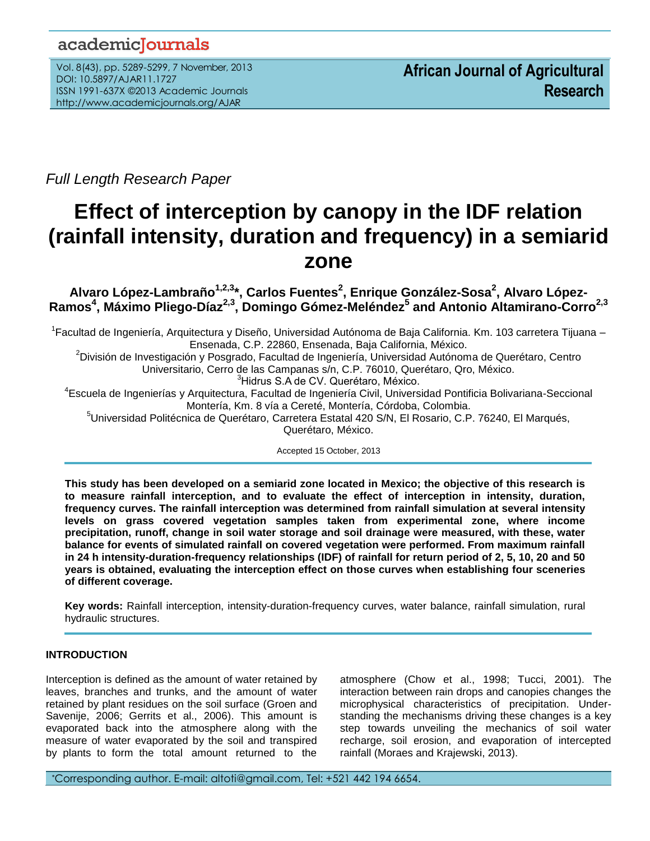# academicJournals

Vol. 8(43), pp. 5289-5299, 7 November, 2013 DOI: 10.5897/AJAR11.1727 ISSN 1991-637X ©2013 Academic Journals http://www.academicjournals.org/AJAR

*Full Length Research Paper*

# **Effect of interception by canopy in the IDF relation (rainfall intensity, duration and frequency) in a semiarid zone**

**Alvaro López-Lambraño1,2,3 \*, Carlos Fuentes<sup>2</sup> , Enrique González-Sosa<sup>2</sup> , Alvaro López-Ramos<sup>4</sup> , Máximo Pliego-Díaz2,3 , Domingo Gómez-Meléndez<sup>5</sup> and Antonio Altamirano-Corro2,3**

<sup>1</sup>Facultad de Ingeniería, Arquitectura y Diseño, Universidad Autónoma de Baja California. Km. 103 carretera Tijuana – Ensenada, C.P. 22860, Ensenada, Baja California, México.

<sup>2</sup>División de Investigación y Posgrado, Facultad de Ingeniería, Universidad Autónoma de Querétaro, Centro

Universitario, Cerro de las Campanas s/n, C.P. 76010, Querétaro, Qro, México.

<sup>3</sup>Hidrus S.A de CV. Querétaro, México.

4 Escuela de Ingenierías y Arquitectura, Facultad de Ingeniería Civil, Universidad Pontificia Bolivariana-Seccional Montería, Km. 8 vía a Cereté, Montería, Córdoba, Colombia.

<sup>5</sup>Universidad Politécnica de Querétaro, Carretera Estatal 420 S/N, El Rosario, C.P. 76240, El Marqués, Querétaro, México.

Accepted 15 October, 2013

**This study has been developed on a semiarid zone located in Mexico; the objective of this research is to measure rainfall interception, and to evaluate the effect of interception in intensity, duration, frequency curves. The rainfall interception was determined from rainfall simulation at several intensity levels on grass covered vegetation samples taken from experimental zone, where income precipitation, runoff, change in soil water storage and soil drainage were measured, with these, water balance for events of simulated rainfall on covered vegetation were performed. From maximum rainfall in 24 h intensity-duration-frequency relationships (IDF) of rainfall for return period of 2, 5, 10, 20 and 50 years is obtained, evaluating the interception effect on those curves when establishing four sceneries of different coverage.** 

**Key words:** Rainfall interception, intensity-duration-frequency curves, water balance, rainfall simulation, rural hydraulic structures.

# **INTRODUCTION**

...*.*

Interception is defined as the amount of water retained by leaves, branches and trunks, and the amount of water retained by plant residues on the soil surface (Groen and Savenije, 2006; Gerrits et al., 2006). This amount is evaporated back into the atmosphere along with the measure of water evaporated by the soil and transpired by plants to form the total amount returned to the atmosphere (Chow et al., 1998; Tucci, 2001). The interaction between rain drops and canopies changes the microphysical characteristics of precipitation. Understanding the mechanisms driving these changes is a key step towards unveiling the mechanics of soil water recharge, soil erosion, and evaporation of intercepted rainfall (Moraes and Krajewski, 2013).

\*Corresponding author. E-mail: altoti@gmail.com, Tel: +521 442 194 6654.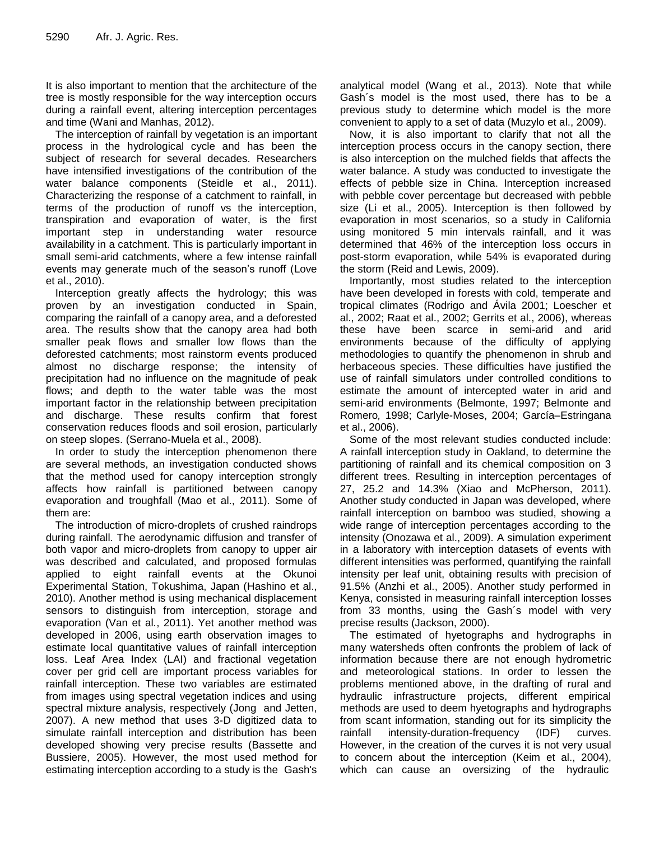It is also important to mention that the architecture of the tree is mostly responsible for the way interception occurs during a rainfall event, altering interception percentages and time (Wani and Manhas, 2012).

The interception of rainfall by vegetation is an important process in the hydrological cycle and has been the subject of research for several decades. Researchers have intensified investigations of the contribution of the water balance components (Steidle et al., 2011). Characterizing the response of a catchment to rainfall, in terms of the production of runoff vs the interception, transpiration and evaporation of water, is the first important step in understanding water resource availability in a catchment. This is particularly important in small semi-arid catchments, where a few intense rainfall events may generate much of the season's runoff (Love et al., 2010).

Interception greatly affects the hydrology; this was proven by an investigation conducted in Spain, comparing the rainfall of a canopy area, and a deforested area. The results show that the canopy area had both smaller peak flows and smaller low flows than the deforested catchments; most rainstorm events produced almost no discharge response; the intensity of precipitation had no influence on the magnitude of peak flows; and depth to the water table was the most important factor in the relationship between precipitation and discharge. These results confirm that forest conservation reduces floods and soil erosion, particularly on steep slopes. (Serrano-Muela et al., 2008).

In order to study the interception phenomenon there are several methods, an investigation conducted shows that the method used for canopy interception strongly affects how rainfall is partitioned between canopy evaporation and troughfall (Mao et al., 2011). Some of them are:

The introduction of micro-droplets of crushed raindrops during rainfall. The aerodynamic diffusion and transfer of both vapor and micro-droplets from canopy to upper air was described and calculated, and proposed formulas applied to eight rainfall events at the Okunoi Experimental Station, Tokushima, Japan (Hashino et al., 2010). Another method is using mechanical displacement sensors to distinguish from interception, storage and evaporation (Van et al., 2011). Yet another method was developed in 2006, using earth observation images to estimate local quantitative values of rainfall interception loss. Leaf Area Index (LAI) and fractional vegetation cover per grid cell are important process variables for rainfall interception. These two variables are estimated from images using spectral vegetation indices and using spectral mixture analysis, respectively (Jong and Jetten, 2007). A new method that uses 3-D digitized data to simulate rainfall interception and distribution has been developed showing very precise results (Bassette and Bussiere, 2005). However, the most used method for estimating interception according to a study is the Gash's analytical model (Wang et al., 2013). Note that while Gash´s model is the most used, there has to be a previous study to determine which model is the more convenient to apply to a set of data (Muzylo et al., 2009).

Now, it is also important to clarify that not all the interception process occurs in the canopy section, there is also interception on the mulched fields that affects the water balance. A study was conducted to investigate the effects of pebble size in China. Interception increased with pebble cover percentage but decreased with pebble size (Li et al., 2005). Interception is then followed by evaporation in most scenarios, so a study in California using monitored 5 min intervals rainfall, and it was determined that 46% of the interception loss occurs in post-storm evaporation, while 54% is evaporated during the storm (Reid and Lewis, 2009).

Importantly, most studies related to the interception have been developed in forests with cold, temperate and tropical climates (Rodrigo and Ávila 2001; Loescher et al., 2002; Raat et al., 2002; Gerrits et al., 2006), whereas these have been scarce in semi-arid and arid environments because of the difficulty of applying methodologies to quantify the phenomenon in shrub and herbaceous species. These difficulties have justified the use of rainfall simulators under controlled conditions to estimate the amount of intercepted water in arid and semi-arid environments (Belmonte, 1997; Belmonte and Romero*,* 1998; Carlyle-Moses, 2004; García–Estringana et al., 2006).

Some of the most relevant studies conducted include: A rainfall interception study in Oakland, to determine the partitioning of rainfall and its chemical composition on 3 different trees. Resulting in interception percentages of 27, 25.2 and 14.3% (Xiao and McPherson, 2011). Another study conducted in Japan was developed, where rainfall interception on bamboo was studied, showing a wide range of interception percentages according to the intensity (Onozawa et al., 2009). A simulation experiment in a laboratory with interception datasets of events with different intensities was performed, quantifying the rainfall intensity per leaf unit, obtaining results with precision of 91.5% (Anzhi et al., 2005). Another study performed in Kenya, consisted in measuring rainfall interception losses from 33 months, using the Gash´s model with very precise results (Jackson, 2000).

The estimated of hyetographs and hydrographs in many watersheds often confronts the problem of lack of information because there are not enough hydrometric and meteorological stations. In order to lessen the problems mentioned above, in the drafting of rural and hydraulic infrastructure projects, different empirical methods are used to deem hyetographs and hydrographs from scant information, standing out for its simplicity the rainfall intensity-duration-frequency (IDF) curves. However, in the creation of the curves it is not very usual to concern about the interception (Keim et al., 2004), which can cause an oversizing of the hydraulic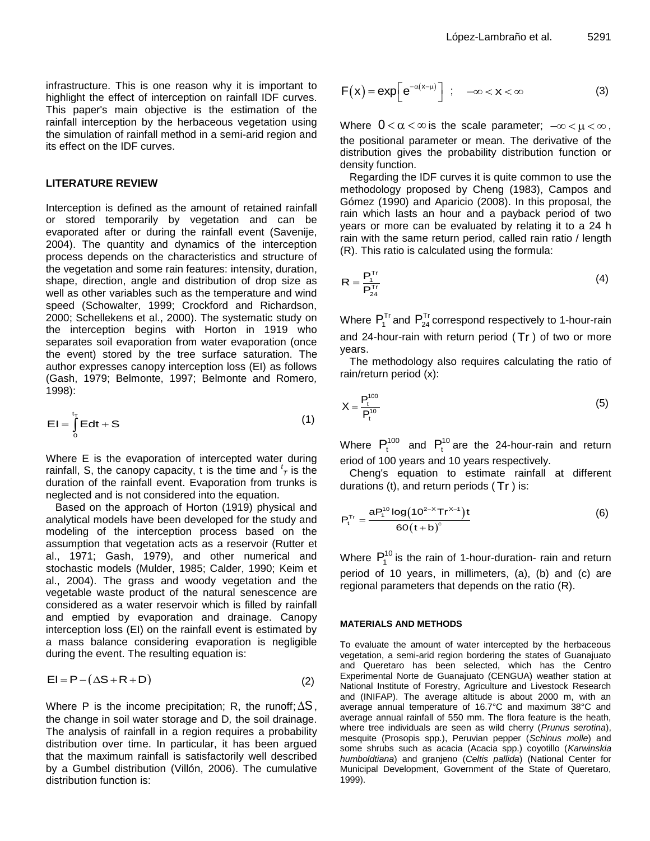infrastructure. This is one reason why it is important to highlight the effect of interception on rainfall IDF curves. This paper's main objective is the estimation of the rainfall interception by the herbaceous vegetation using the simulation of rainfall method in a semi-arid region and its effect on the IDF curves.

#### **LITERATURE REVIEW**

Interception is defined as the amount of retained rainfall or stored temporarily by vegetation and can be evaporated after or during the rainfall event (Savenije, 2004). The quantity and dynamics of the interception process depends on the characteristics and structure of the vegetation and some rain features: intensity, duration, shape, direction, angle and distribution of drop size as well as other variables such as the temperature and wind speed (Schowalter, 1999; Crockford and Richardson, 2000; Schellekens et al., 2000). The systematic study on the interception begins with Horton in 1919 who separates soil evaporation from water evaporation (once the event) stored by the tree surface saturation. The author expresses canopy interception loss (EI) as follows (Gash, 1979; Belmonte, 1997; Belmonte and Romero*,* 1998):

$$
EI = \int_{0}^{t_{T}} Edt + S
$$
 (1)

Where E is the evaporation of intercepted water during rainfall, S, the canopy capacity, t is the time and  $\frac{t}{l}$  is the duration of the rainfall event. Evaporation from trunks is neglected and is not considered into the equation.

Based on the approach of Horton (1919) physical and analytical models have been developed for the study and modeling of the interception process based on the assumption that vegetation acts as a reservoir (Rutter et al., 1971; Gash, 1979), and other numerical and stochastic models (Mulder, 1985; Calder, 1990; Keim et al., 2004). The grass and woody vegetation and the vegetable waste product of the natural senescence are considered as a water reservoir which is filled by rainfall and emptied by evaporation and drainage. Canopy interception loss (EI) on the rainfall event is estimated by a mass balance considering evaporation is negligible during the event. The resulting equation is:

$$
EI = P - (\Delta S + R + D)
$$
 (2)

Where P is the income precipitation; R, the runoff;  $\Delta S$ , the change in soil water storage and D*,* the soil drainage. The analysis of rainfall in a region requires a probability distribution over time. In particular, it has been argued that the maximum rainfall is satisfactorily well described by a Gumbel distribution (Villón, 2006). The cumulative distribution function is:

$$
F(x) = exp\left[e^{-\alpha(x-\mu)}\right] ; \quad -\infty < x < \infty
$$
 (3)

Where  $0 < \alpha < \infty$  is the scale parameter;  $-\infty < \mu < \infty$ , the positional parameter or mean. The derivative of the distribution gives the probability distribution function or density function.

Regarding the IDF curves it is quite common to use the methodology proposed by Cheng (1983), Campos and Gómez (1990) and Aparicio (2008). In this proposal, the rain which lasts an hour and a payback period of two years or more can be evaluated by relating it to a 24 h rain with the same return period, called rain ratio / length (R). This ratio is calculated using the formula:

$$
R = \frac{P_1^{\text{Tr}}}{P_{24}^{\text{Tr}}} \tag{4}
$$

Where  $P_1^{Tr}$  and  $P_{24}^{Tr}$  correspond respectively to 1-hour-rain and 24-hour-rain with return period ( Tr ) of two or more years.

The methodology also requires calculating the ratio of rain/return period (x):

$$
X = \frac{P_t^{100}}{P_t^{10}}
$$
 (5)

Where  $P_t^{100}$  and  $P_t^{10}$  are the 24-hour-rain and return eriod of 100 years and 10 years respectively.

Cheng's equation to estimate rainfall at different durations (t), and return periods ( Tr ) is:

$$
P_{t}^{Tr} = \frac{a P_{t}^{10} \log (10^{2-x} Tr^{x-1})t}{60(t+b)^{c}}
$$
 (6)

Where  $P_1^{10}$  is the rain of 1-hour-duration- rain and return period of 10 years, in millimeters, (a), (b) and (c) are regional parameters that depends on the ratio (R).

#### **MATERIALS AND METHODS**

To evaluate the amount of water intercepted by the herbaceous vegetation, a semi-arid region bordering the states of Guanajuato and Queretaro has been selected, which has the Centro Experimental Norte de Guanajuato (CENGUA) weather station at National Institute of Forestry, Agriculture and Livestock Research and (INIFAP). The average altitude is about 2000 m, with an average annual temperature of 16.7°C and maximum 38°C and average annual rainfall of 550 mm. The flora feature is the heath, where tree individuals are seen as wild cherry (*Prunus serotina*), mesquite (Prosopis spp.), Peruvian pepper (*Schinus molle*) and some shrubs such as acacia (Acacia spp.) coyotillo (*Karwinskia humboldtiana*) and granjeno (*Celtis pallida*) (National Center for Municipal Development, Government of the State of Queretaro, 1999).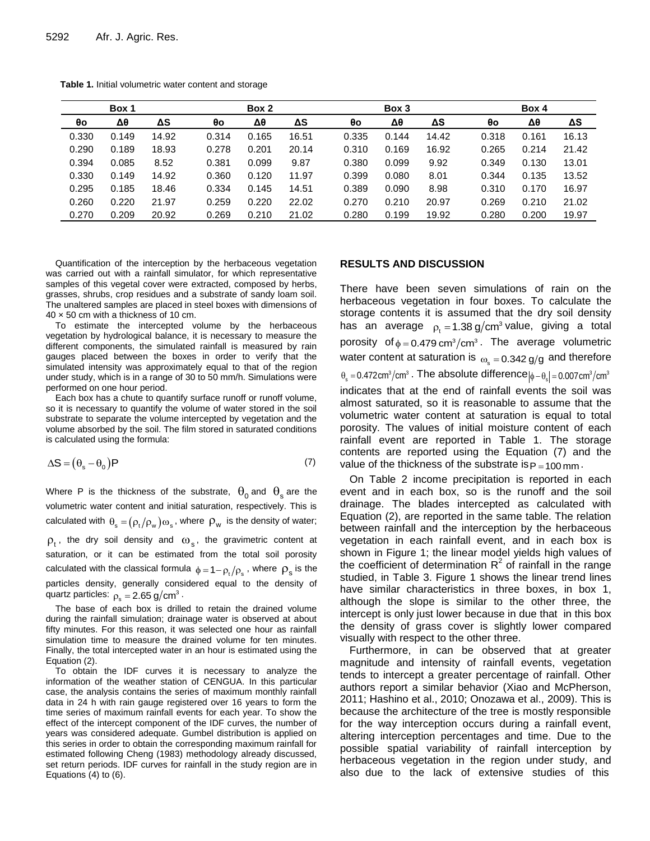|       | Box 1 |       |       | Box 2 |       |       | Box 3 |       |       | Box 4 |       |  |  |
|-------|-------|-------|-------|-------|-------|-------|-------|-------|-------|-------|-------|--|--|
| θo    | Δθ    | ΔS    | θo    | Δθ    | ΔS    | θο    | Δθ    | ΔS    | θο    | Δθ    | ΔS    |  |  |
| 0.330 | 0.149 | 14.92 | 0.314 | 0.165 | 16.51 | 0.335 | 0.144 | 14.42 | 0.318 | 0.161 | 16.13 |  |  |
| 0.290 | 0.189 | 18.93 | 0.278 | 0.201 | 20.14 | 0.310 | 0.169 | 16.92 | 0.265 | 0.214 | 21.42 |  |  |
| 0.394 | 0.085 | 8.52  | 0.381 | 0.099 | 9.87  | 0.380 | 0.099 | 9.92  | 0.349 | 0.130 | 13.01 |  |  |
| 0.330 | 0.149 | 14.92 | 0.360 | 0.120 | 11.97 | 0.399 | 0.080 | 8.01  | 0.344 | 0.135 | 13.52 |  |  |
| 0.295 | 0.185 | 18.46 | 0.334 | 0.145 | 14.51 | 0.389 | 0.090 | 8.98  | 0.310 | 0.170 | 16.97 |  |  |
| 0.260 | 0.220 | 21.97 | 0.259 | 0.220 | 22.02 | 0.270 | 0.210 | 20.97 | 0.269 | 0.210 | 21.02 |  |  |
| 0.270 | 0.209 | 20.92 | 0.269 | 0.210 | 21.02 | 0.280 | 0.199 | 19.92 | 0.280 | 0.200 | 19.97 |  |  |

**Table 1.** Initial volumetric water content and storage

Quantification of the interception by the herbaceous vegetation was carried out with a rainfall simulator, for which representative samples of this vegetal cover were extracted, composed by herbs, grasses, shrubs, crop residues and a substrate of sandy loam soil. The unaltered samples are placed in steel boxes with dimensions of 40 × 50 cm with a thickness of 10 cm.

To estimate the intercepted volume by the herbaceous vegetation by hydrological balance, it is necessary to measure the different components, the simulated rainfall is measured by rain gauges placed between the boxes in order to verify that the simulated intensity was approximately equal to that of the region under study, which is in a range of 30 to 50 mm/h. Simulations were performed on one hour period.

Each box has a chute to quantify surface runoff or runoff volume, so it is necessary to quantify the volume of water stored in the soil substrate to separate the volume intercepted by vegetation and the volume absorbed by the soil. The film stored in saturated conditions is calculated using the formula:

$$
\Delta S = (\theta_{s} - \theta_{0})P
$$
 (7)

Where P is the thickness of the substrate,  $\theta_0$  and  $\theta_{\rm s}$  are the volumetric water content and initial saturation, respectively. This is calculated with  $\theta_s = (\rho_t/\rho_w)\omega_s$ , where  $\rho_w$  is the density of water;  $\rho_{\rm t}$ , the dry soil density and  $\omega_{\rm s}$ , the gravimetric content at

saturation, or it can be estimated from the total soil porosity calculated with the classical formula  $\phi = 1 - \rho_t/\rho_s$ , where  $\rho_s$  is the particles density, generally considered equal to the density of quartz particles:  $\rho_{\rm s}^{}$  = 2.65 g/cm $^3$   $\cdot$ 

The base of each box is drilled to retain the drained volume during the rainfall simulation; drainage water is observed at about fifty minutes. For this reason, it was selected one hour as rainfall simulation time to measure the drained volume for ten minutes. Finally, the total intercepted water in an hour is estimated using the Equation (2).

To obtain the IDF curves it is necessary to analyze the information of the weather station of CENGUA. In this particular case, the analysis contains the series of maximum monthly rainfall data in 24 h with rain gauge registered over 16 years to form the time series of maximum rainfall events for each year. To show the effect of the intercept component of the IDF curves, the number of years was considered adequate. Gumbel distribution is applied on this series in order to obtain the corresponding maximum rainfall for estimated following Cheng (1983) methodology already discussed, set return periods. IDF curves for rainfall in the study region are in Equations (4) to (6).

#### **RESULTS AND DISCUSSION**

There have been seven simulations of rain on the herbaceous vegetation in four boxes. To calculate the storage contents it is assumed that the dry soil density has an average  $\rho_{\rm t} = 1.38 \ {\rm g/cm^3}$  value, giving a total porosity of  $\phi = 0.479 \text{ cm}^3/\text{cm}^3$ . The average volumetric water content at saturation is  $\omega_{\rm s}$   $=$  0.342 g/g and therefore  $\theta_{\rm s} =$  0.472cm $^3/\text{cm}^3$  . The absolute difference $|\phi-\theta_{\rm s}|$  = 0.007cm $^3/\text{cm}^3$ indicates that at the end of rainfall events the soil was almost saturated, so it is reasonable to assume that the volumetric water content at saturation is equal to total porosity. The values of initial moisture content of each rainfall event are reported in Table 1. The storage contents are reported using the Equation (7) and the value of the thickness of the substrate is  $p_{=100\,\rm{mm}}$  .

On Table 2 income precipitation is reported in each event and in each box, so is the runoff and the soil drainage. The blades intercepted as calculated with Equation (2), are reported in the same table. The relation between rainfall and the interception by the herbaceous vegetation in each rainfall event, and in each box is shown in Figure 1; the linear model yields high values of the coefficient of determination  $R^2$  of rainfall in the range studied, in Table 3. Figure 1 shows the linear trend lines have similar characteristics in three boxes, in box 1, although the slope is similar to the other three, the intercept is only just lower because in due that in this box the density of grass cover is slightly lower compared visually with respect to the other three.

Furthermore, in can be observed that at greater magnitude and intensity of rainfall events, vegetation tends to intercept a greater percentage of rainfall. Other authors report a similar behavior (Xiao and McPherson, 2011; Hashino et al., 2010; Onozawa et al., 2009). This is because the architecture of the tree is mostly responsible for the way interception occurs during a rainfall event, altering interception percentages and time. Due to the possible spatial variability of rainfall interception by herbaceous vegetation in the region under study, and also due to the lack of extensive studies of this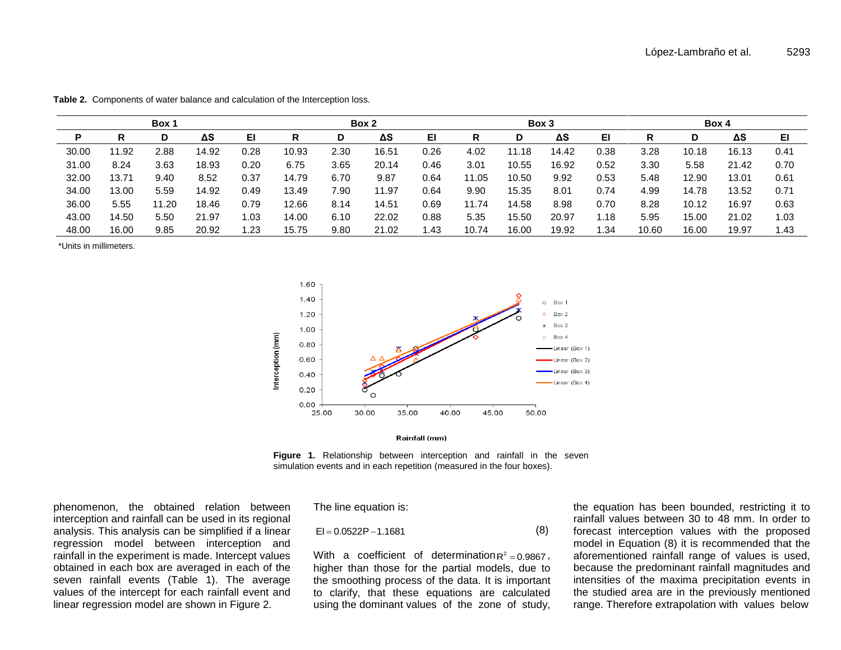| Box 1 |       |       |       |      |       | Box 2 |       |      | Box 3 |       |       |      | Box 4 |       |       |               |
|-------|-------|-------|-------|------|-------|-------|-------|------|-------|-------|-------|------|-------|-------|-------|---------------|
| P     | R     | D     | ΔS    | EI   | R     | D     | ΔS    | EI   | R     | D     | ΔS    | EI   | R     | D     | ΔS    | EI            |
| 30.00 | 11.92 | 2.88  | 14.92 | 0.28 | 10.93 | 2.30  | 16.51 | 0.26 | 4.02  | 11.18 | 14.42 | 0.38 | 3.28  | 10.18 | 16.13 | $0.4^{\circ}$ |
| 31.00 | 8.24  | 3.63  | 18.93 | 0.20 | 6.75  | 3.65  | 20.14 | 0.46 | 3.01  | 10.55 | 16.92 | 0.52 | 3.30  | 5.58  | 21.42 | 0.70          |
| 32.00 | 13.71 | 9.40  | 8.52  | 0.37 | 14.79 | 6.70  | 9.87  | 0.64 | 11.05 | 10.50 | 9.92  | 0.53 | 5.48  | 12.90 | 13.01 | 0.61          |
| 34.00 | 13.00 | 5.59  | 14.92 | 0.49 | 13.49 | 7.90  | 11.97 | 0.64 | 9.90  | 15.35 | 8.01  | 0.74 | 4.99  | 14.78 | 13.52 | 0.71          |
| 36.00 | 5.55  | 11.20 | 18.46 | 0.79 | 12.66 | 8.14  | 14.51 | 0.69 | 11.74 | 14.58 | 8.98  | 0.70 | 8.28  | 10.12 | 16.97 | 0.63          |
| 43.00 | 14.50 | 5.50  | 21.97 | 1.03 | 14.00 | 6.10  | 22.02 | 0.88 | 5.35  | 15.50 | 20.97 | ∣.18 | 5.95  | 15.00 | 21.02 | 1.03          |
| 48.00 | 16.00 | 9.85  | 20.92 | l.23 | 15.75 | 9.80  | 21.02 | . 43 | 10.74 | 16.00 | 19.92 | .34  | 10.60 | 16.00 | 19.97 | 1.43          |

**Table 2.** Components of water balance and calculation of the Interception loss.

\*Units in millimeters.



Rainfall (mm)

**Figure 1.** Relationship between interception and rainfall in the seven simulation events and in each repetition (measured in the four boxes).

phenomenon, the obtained relation between interception and rainfall can be used in its regional analysis. This analysis can be simplified if a linear regression model between interception and rainfall in the experiment is made. Intercept values obtained in each box are averaged in each of the seven rainfall events (Table 1). The average values of the intercept for each rainfall event and linear regression model are shown in Figure 2.

The line equation is:

$$
El = 0.0522P - 1.1681
$$
 (8)

With a coefficient of determination $R^2 = 0.9867$ , higher than those for the partial models, due to the smoothing process of the data. It is important to clarify, that these equations are calculated using the dominant values of the zone of study,

the equation has been bounded, restricting it to rainfall values between 30 to 48 mm. In order to forecast interception values with the proposed model in Equation (8) it is recommended that the aforementioned rainfall range of values is used, because the predominant rainfall magnitudes and intensities of the maxima precipitation events in the studied area are in the previously mentioned EI=0.0522P-1.1681 (8) forecast interception values with the proposed model in Equation (8) it is recommended that the proposed model in Equation (8) it is recommended that the proposed migher than those for the partial mo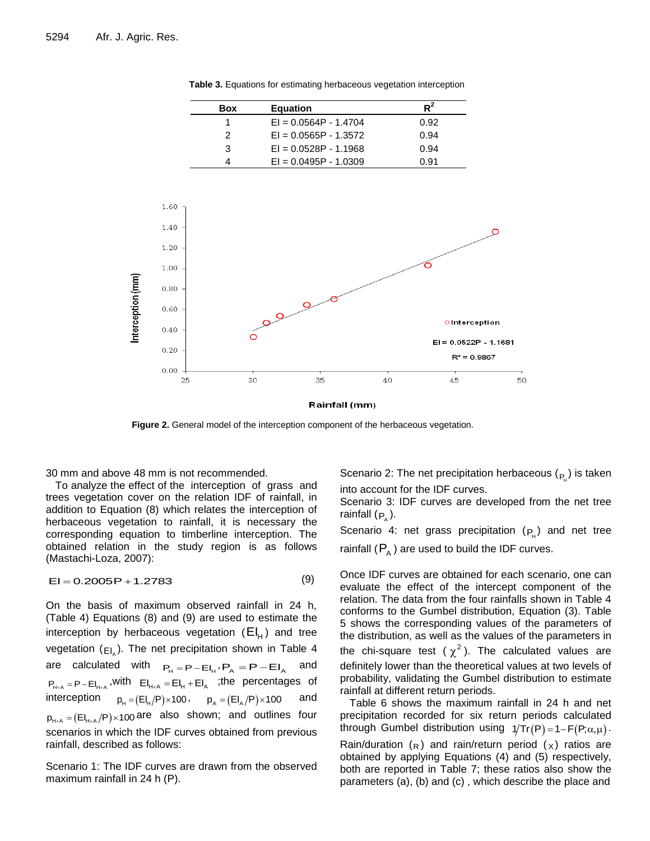$R^2$ **Box Equation** 1 EI = 0.0564P - 1.4704 0.92 2 EI = 0.0565P - 1.3572 0.94  $3 \qquad \qquad \text{El} = 0.0528 \text{P} - 1.1968 \qquad \qquad 0.94$ 4 EI = 0.0495P - 1.0309 0.91 1.60 1.40  $\Omega$  $1.20$  $1.00$ nterception (mm)  $0.80$  $\circ$  $0.60$ OInterception  $0.40$  $EI = 0.0522P - 1.1681$  $0.20$  $R^2 = 0.9867$  $0.00$ 35 25  $30$  $40$ 45 50

**Table 3.** Equations for estimating herbaceous vegetation interception

Rainfall (mm)

**Figure 2.** General model of the interception component of the herbaceous vegetation.

30 mm and above 48 mm is not recommended.

To analyze the effect of the interception of grass and trees vegetation cover on the relation IDF of rainfall, in addition to Equation (8) which relates the interception of herbaceous vegetation to rainfall, it is necessary the corresponding equation to timberline interception. The obtained relation in the study region is as follows (Mastachi-Loza, 2007):

$$
EI = 0.2005P + 1.2783
$$
 (9)

On the basis of maximum observed rainfall in 24 h, (Table 4) Equations (8) and (9) are used to estimate the interception by herbaceous vegetation  $(EI_H)$  and tree vegetation (<sub>EI<sub>A</sub>). The net precipitation shown in Table 4</sub> are calculated with  $P_H = P - E I_H$ ,  $P_A = P - E I_A$ and  $=$  P $-$ EI<sub>H+A</sub></sub>,with  $E|_{H+A} = E|_{H} + E|_{A}$  ;the percentages of interception  $p_H = (EI_H/P) \times 100$ ,  $p_A = (EI_A/P) \times 100$  and  $p_{H+A} = (E I_{H+A}/P) \times 100$  are also shown; and outlines four scenarios in which the IDF curves obtained from previous rainfall, described as follows: EI = 0.2005P + 1.2783 (9) Once IDF curves are obtained for each scenario, one can<br>
order that the effect of the interception onperation of the<br>
Table 4) Equations (8) and (9) are used to estimate the<br>
order the distributi

Scenario 1: The IDF curves are drawn from the observed maximum rainfall in 24 h (P).

Scenario 2: The net precipitation herbaceous  $({}_{P_{\mu}})$  is taken into account for the IDF curves.

Scenario 3: IDF curves are developed from the net tree rainfall (<sub>P<sub>^</sub>).</sub>

Scenario 4: net grass precipitation  $(P_H)$  and net tree rainfall  $(P_{\text{A}})$  are used to build the IDF curves.

Once IDF curves are obtained for each scenario, one can evaluate the effect of the intercept component of the relation. The data from the four rainfalls shown in Table 4 conforms to the Gumbel distribution, Equation (3). Table 5 shows the corresponding values of the parameters of the distribution, as well as the values of the parameters in the chi-square test ( $\chi^2$ ). The calculated values are definitely lower than the theoretical values at two levels of probability, validating the Gumbel distribution to estimate rainfall at different return periods.

Table 6 shows the maximum rainfall in 24 h and net precipitation recorded for six return periods calculated through Gumbel distribution using  $1/Tr(P) = 1 - F(P; \alpha, \mu)$ . Rain/duration  $(R)$  and rain/return period  $(x)$  ratios are obtained by applying Equations (4) and (5) respectively,

both are reported in Table 7; these ratios also show the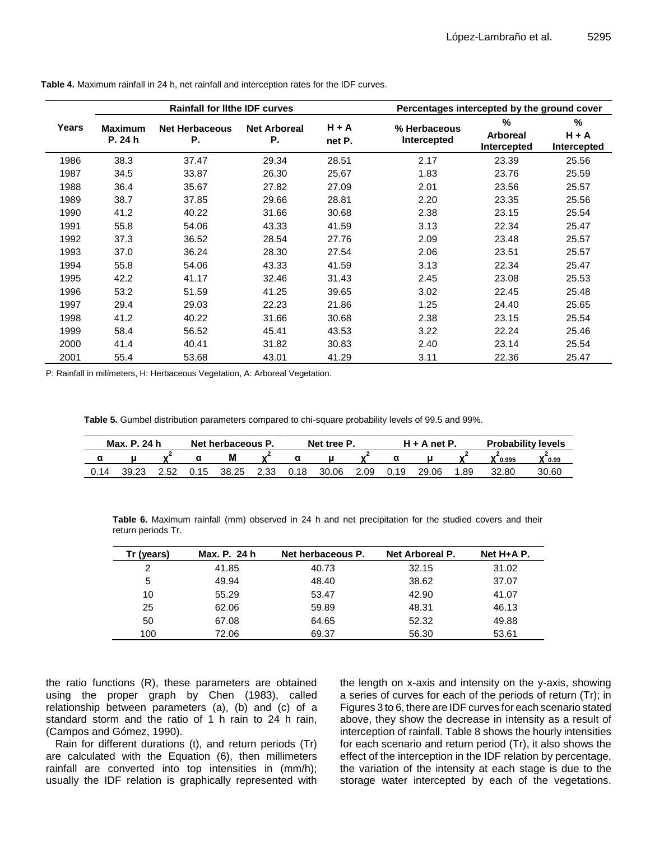|       |                | <b>Rainfall for lithe IDF curves</b> |                     |         | Percentages intercepted by the ground cover |                                  |              |
|-------|----------------|--------------------------------------|---------------------|---------|---------------------------------------------|----------------------------------|--------------|
| Years | <b>Maximum</b> | <b>Net Herbaceous</b>                | <b>Net Arboreal</b> | $H + A$ | % Herbaceous                                | $\frac{0}{0}$<br><b>Arboreal</b> | %<br>$H + A$ |
|       | P. 24 h        | Р.                                   | Ρ.                  | net P.  | Intercepted                                 | Intercepted                      | Intercepted  |
| 1986  | 38.3           | 37.47                                | 29.34               | 28.51   | 2.17                                        | 23.39                            | 25.56        |
| 1987  | 34.5           | 33.87                                | 26.30               | 25.67   | 1.83                                        | 23.76                            | 25.59        |
| 1988  | 36.4           | 35.67                                | 27.82               | 27.09   | 2.01                                        | 23.56                            | 25.57        |
| 1989  | 38.7           | 37.85                                | 29.66               | 28.81   | 2.20                                        | 23.35                            | 25.56        |
| 1990  | 41.2           | 40.22                                | 31.66               | 30.68   | 2.38                                        | 23.15                            | 25.54        |
| 1991  | 55.8           | 54.06                                | 43.33               | 41.59   | 3.13                                        | 22.34                            | 25.47        |
| 1992  | 37.3           | 36.52                                | 28.54               | 27.76   | 2.09                                        | 23.48                            | 25.57        |
| 1993  | 37.0           | 36.24                                | 28.30               | 27.54   | 2.06                                        | 23.51                            | 25.57        |
| 1994  | 55.8           | 54.06                                | 43.33               | 41.59   | 3.13                                        | 22.34                            | 25.47        |
| 1995  | 42.2           | 41.17                                | 32.46               | 31.43   | 2.45                                        | 23.08                            | 25.53        |
| 1996  | 53.2           | 51.59                                | 41.25               | 39.65   | 3.02                                        | 22.45                            | 25.48        |
| 1997  | 29.4           | 29.03                                | 22.23               | 21.86   | 1.25                                        | 24.40                            | 25.65        |
| 1998  | 41.2           | 40.22                                | 31.66               | 30.68   | 2.38                                        | 23.15                            | 25.54        |
| 1999  | 58.4           | 56.52                                | 45.41               | 43.53   | 3.22                                        | 22.24                            | 25.46        |
| 2000  | 41.4           | 40.41                                | 31.82               | 30.83   | 2.40                                        | 23.14                            | 25.54        |
| 2001  | 55.4           | 53.68                                | 43.01               | 41.29   | 3.11                                        | 22.36                            | 25.47        |

**Table 4.** Maximum rainfall in 24 h, net rainfall and interception rates for the IDF curves.

P: Rainfall in milímeters, H: Herbaceous Vegetation, A: Arboreal Vegetation.

**Table 5.** Gumbel distribution parameters compared to chi-square probability levels of 99.5 and 99%.

| Max. P. 24 h |       |      | Net herbaceous P. |       |      | Net tree P. |       |      | $H + A$ net P. |       |     | <b>Probability levels</b> |            |  |
|--------------|-------|------|-------------------|-------|------|-------------|-------|------|----------------|-------|-----|---------------------------|------------|--|
|              |       |      |                   | M     |      |             |       |      |                |       |     | 0.995                     | $V_{0.99}$ |  |
| 0.14         | 39.23 | 2.52 | 0.15              | 38.25 | 2.33 | 0.18        | 30.06 | 2.09 | 0.19           | 29.06 | .89 | 32.80                     | 30.60      |  |

**Table 6.** Maximum rainfall (mm) observed in 24 h and net precipitation for the studied covers and their return periods Tr.

| Tr (years) | Max. P. 24 h | Net herbaceous P. | Net Arboreal P. | $Net H+A P.$ |
|------------|--------------|-------------------|-----------------|--------------|
| 2          | 41.85        | 40.73             | 32.15           | 31.02        |
| 5          | 49.94        | 48.40             | 38.62           | 37.07        |
| 10         | 55.29        | 53.47             | 42.90           | 41.07        |
| 25         | 62.06        | 59.89             | 48.31           | 46.13        |
| 50         | 67.08        | 64.65             | 52.32           | 49.88        |
| 100        | 72.06        | 69.37             | 56.30           | 53.61        |

the ratio functions (R), these parameters are obtained using the proper graph by Chen (1983), called relationship between parameters (a), (b) and (c) of a standard storm and the ratio of 1 h rain to 24 h rain, (Campos and Gómez, 1990).

Rain for different durations (t), and return periods (Tr) are calculated with the Equation (6), then millimeters rainfall are converted into top intensities in (mm/h); usually the IDF relation is graphically represented with the length on x-axis and intensity on the y-axis, showing a series of curves for each of the periods of return (Tr); in Figures 3 to 6, there are IDF curves for each scenario stated above, they show the decrease in intensity as a result of interception of rainfall. Table 8 shows the hourly intensities for each scenario and return period (Tr), it also shows the effect of the interception in the IDF relation by percentage, the variation of the intensity at each stage is due to the storage water intercepted by each of the vegetations.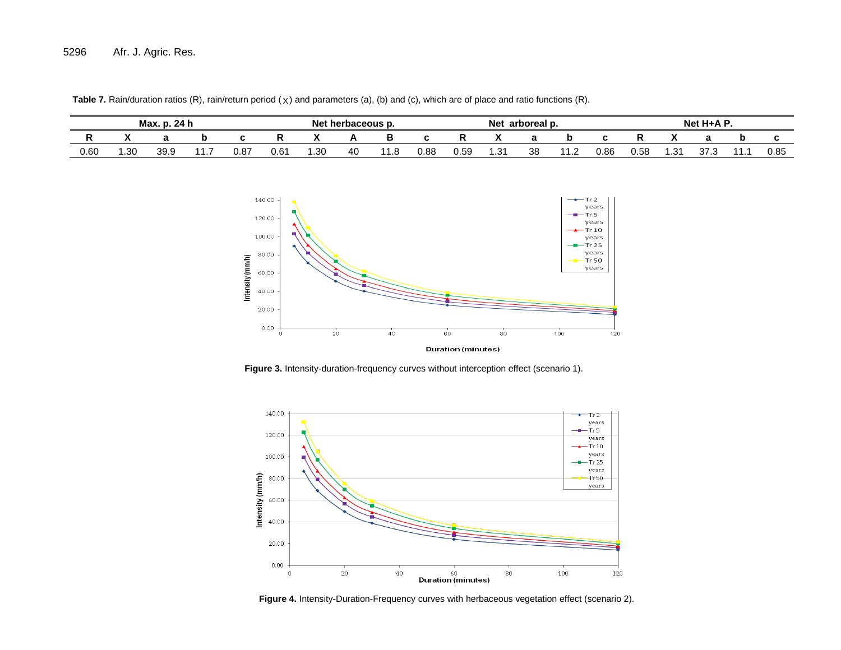| Max.<br>24 h |       |      |   | Nat<br>herbaceous p. |               |       |    | Net<br>arboreal p.                   |      |      |     | $Net H+A P$ |                    |      |               |     |                           |  |      |
|--------------|-------|------|---|----------------------|---------------|-------|----|--------------------------------------|------|------|-----|-------------|--------------------|------|---------------|-----|---------------------------|--|------|
|              |       |      |   |                      |               |       |    |                                      |      |      |     |             |                    |      |               |     |                           |  |      |
| 0.60         | 30. ا | 39.9 | . | 0.87                 | $0.6^{\circ}$ | . .30 | 40 | $\overline{\phantom{a}}$<br>. .<br>. | 0.88 | 0.59 | .3' | 38          | $\overline{A}$<br> | 0.86 | $\sim$<br>υ.υ | ں.ו | $\sim$<br>$\sim$<br>ن. ان |  | 0.85 |

Table 7. Rain/duration ratios (R), rain/return period (x) and parameters (a), (b) and (c), which are of place and ratio functions (R).



**Figure 3.** Intensity-duration-frequency curves without interception effect (scenario 1).



**Figure 4.** Intensity-Duration-Frequency curves with herbaceous vegetation effect (scenario 2).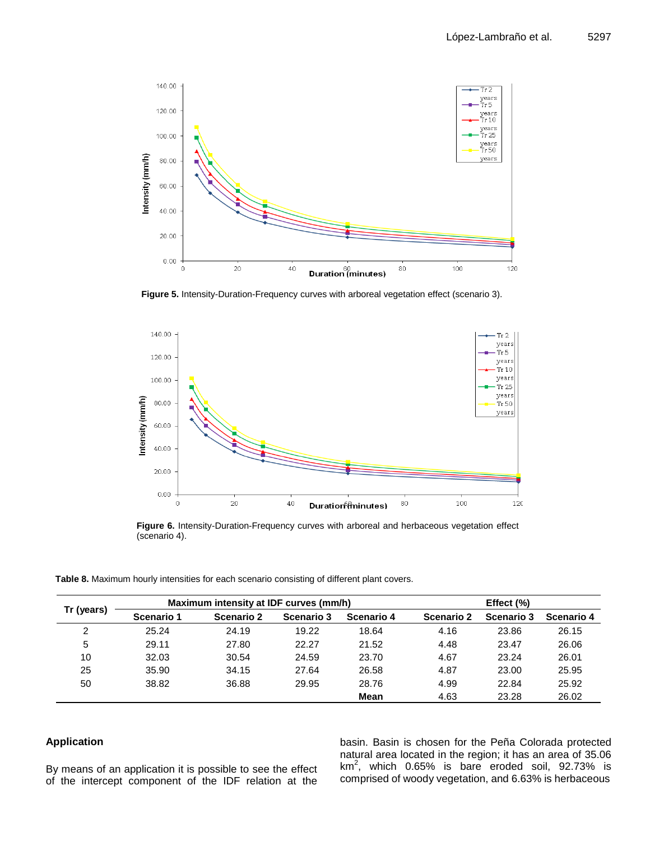

**Figure 5.** Intensity-Duration-Frequency curves with arboreal vegetation effect (scenario 3).



**Figure 6.** Intensity-Duration-Frequency curves with arboreal and herbaceous vegetation effect (scenario 4).

**Table 8.** Maximum hourly intensities for each scenario consisting of different plant covers.

| Tr (years) |            | Maximum intensity at IDF curves (mm/h) |            | Effect $(\% )$ |            |            |            |  |
|------------|------------|----------------------------------------|------------|----------------|------------|------------|------------|--|
|            | Scenario 1 | <b>Scenario 2</b>                      | Scenario 3 | Scenario 4     | Scenario 2 | Scenario 3 | Scenario 4 |  |
| 2          | 25.24      | 24.19                                  | 19.22      | 18.64          | 4.16       | 23.86      | 26.15      |  |
| 5          | 29.11      | 27.80                                  | 22.27      | 21.52          | 4.48       | 23.47      | 26.06      |  |
| 10         | 32.03      | 30.54                                  | 24.59      | 23.70          | 4.67       | 23.24      | 26.01      |  |
| 25         | 35.90      | 34.15                                  | 27.64      | 26.58          | 4.87       | 23.00      | 25.95      |  |
| 50         | 38.82      | 36.88                                  | 29.95      | 28.76          | 4.99       | 22.84      | 25.92      |  |
|            |            |                                        |            | Mean           | 4.63       | 23.28      | 26.02      |  |

## **Application**

By means of an application it is possible to see the effect of the intercept component of the IDF relation at the basin. Basin is chosen for the Peña Colorada protected natural area located in the region; it has an area of 35.06  $km<sup>2</sup>$ , which 0.65% is bare eroded soil, 92.73% is comprised of woody vegetation, and 6.63% is herbaceous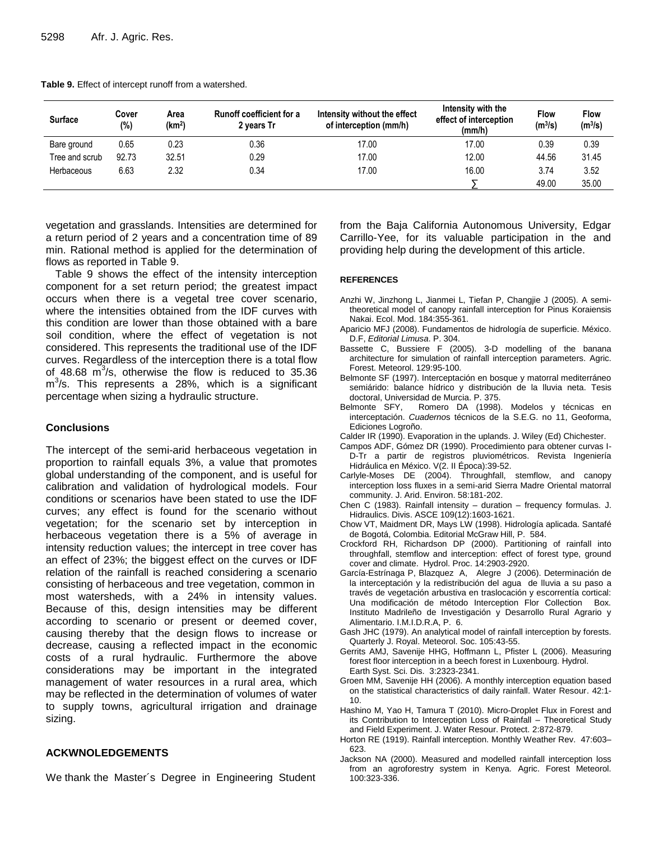| <b>Surface</b> | Cover<br>(%) | Area<br>(km <sup>2</sup> ) | <b>Runoff coefficient for a</b><br>2 years Tr | Intensity without the effect<br>of interception (mm/h) | Intensity with the<br>effect of interception<br>(mm/h) | Flow<br>$(m^3/s)$ | <b>Flow</b><br>$(m^3/s)$ |
|----------------|--------------|----------------------------|-----------------------------------------------|--------------------------------------------------------|--------------------------------------------------------|-------------------|--------------------------|
| Bare ground    | 0.65         | 0.23                       | 0.36                                          | 17.00                                                  | 17.00                                                  | 0.39              | 0.39                     |
| Tree and scrub | 92.73        | 32.51                      | 0.29                                          | 17.00                                                  | 12.00                                                  | 44.56             | 31.45                    |
| Herbaceous     | 6.63         | 2.32                       | 0.34                                          | 17.00                                                  | 16.00                                                  | 3.74              | 3.52                     |
|                |              |                            |                                               |                                                        |                                                        | 49.00             | 35.00                    |

**Table 9.** Effect of intercept runoff from a watershed.

vegetation and grasslands. Intensities are determined for a return period of 2 years and a concentration time of 89 min. Rational method is applied for the determination of flows as reported in Table 9.

Table 9 shows the effect of the intensity interception component for a set return period; the greatest impact occurs when there is a vegetal tree cover scenario, where the intensities obtained from the IDF curves with this condition are lower than those obtained with a bare soil condition, where the effect of vegetation is not considered. This represents the traditional use of the IDF curves. Regardless of the interception there is a total flow of 48.68  $\mathrm{m}^3$ /s, otherwise the flow is reduced to 35.36  $m<sup>3</sup>/s$ . This represents a 28%, which is a significant percentage when sizing a hydraulic structure.

#### **Conclusions**

The intercept of the semi-arid herbaceous vegetation in proportion to rainfall equals 3%, a value that promotes global understanding of the component, and is useful for calibration and validation of hydrological models. Four conditions or scenarios have been stated to use the IDF curves; any effect is found for the scenario without vegetation; for the scenario set by interception in herbaceous vegetation there is a 5% of average in intensity reduction values; the intercept in tree cover has an effect of 23%; the biggest effect on the curves or IDF relation of the rainfall is reached considering a scenario consisting of herbaceous and tree vegetation, common in most watersheds, with a 24% in intensity values. Because of this, design intensities may be different according to scenario or present or deemed cover, causing thereby that the design flows to increase or decrease, causing a reflected impact in the economic costs of a rural hydraulic. Furthermore the above considerations may be important in the integrated management of water resources in a rural area, which may be reflected in the determination of volumes of water to supply towns, agricultural irrigation and drainage sizing.

## **ACKWNOLEDGEMENTS**

We thank the Master´s Degree in Engineering Student

from the Baja California Autonomous University, Edgar Carrillo-Yee, for its valuable participation in the and providing help during the development of this article.

#### **REFERENCES**

- Anzhi W, Jinzhong L, Jianmei L, Tiefan P, Changjie J (2005). A semitheoretical model of canopy rainfall interception for Pinus Koraiensis Nakai. Ecol. Mod. 184:355-361.
- Aparicio MFJ (2008). Fundamentos de hidrología de superficie. México. D.F, *Editorial Limusa*. P. 304.
- Bassette C, Bussiere F (2005). 3-D modelling of the banana architecture for simulation of rainfall interception parameters. Agric. Forest. Meteorol. 129:95-100.
- Belmonte SF (1997). Interceptación en bosque y matorral mediterráneo semiárido: balance hídrico y distribución de la lluvia neta. Tesis doctoral, Universidad de Murcia. P. 375.
- Belmonte SFY, Romero DA (1998). Modelos y técnicas en interceptación. *Cuaderno*s técnicos de la S.E.G. no 11, Geoforma, Ediciones Logroño.
- Calder IR (1990). Evaporation in the uplands. J. Wiley (Ed) Chichester.
- Campos ADF, Gómez DR (1990). Procedimiento para obtener curvas I-D-Tr a partir de registros pluviométricos. Revista Ingeniería Hidráulica en México. V(2. II Época):39-52.
- Carlyle-Moses DE (2004). Throughfall, stemflow, and canopy interception loss fluxes in a semi-arid Sierra Madre Oriental matorral community. J. Arid. Environ. 58:181-202.
- Chen C (1983). Rainfall intensity duration frequency formulas. J. Hidraulics. Divis. ASCE 109(12):1603-1621.
- Chow VT, Maidment DR, Mays LW (1998). Hidrología aplicada. Santafé de Bogotá, Colombia. Editorial McGraw Hill, P. 584.
- Crockford RH, Richardson DP (2000). Partitioning of rainfall into throughfall, stemflow and interception: effect of forest type, ground cover and climate. Hydrol. Proc. 14:2903-2920.
- García-Estrínaga P, Blazquez A, Alegre J (2006). Determinación de la interceptación y la redistribución del agua de lluvia a su paso a través de vegetación arbustiva en traslocación y escorrentía cortical: Una modificación de método Interception Flor Collection Box. Instituto Madrileño de Investigación y Desarrollo Rural Agrario y Alimentario. I.M.I.D.R.A, P. 6.
- Gash JHC (1979). An analytical model of rainfall interception by forests. Quarterly J. Royal. Meteorol. Soc. 105:43-55.
- Gerrits AMJ, Savenije HHG, Hoffmann L, Pfister L (2006). Measuring forest floor interception in a beech forest in Luxenbourg. Hydrol. Earth Syst. Sci. Dis. 3:2323-2341.
- Groen MM, Savenije HH (2006). A monthly interception equation based on the statistical characteristics of daily rainfall. Water Resour. 42:1- 10.
- Hashino M, Yao H, Tamura T (2010). Micro-Droplet Flux in Forest and its Contribution to Interception Loss of Rainfall – Theoretical Study and Field Experiment. J. Water Resour. Protect. 2:872-879.
- Horton RE (1919). Rainfall interception. Monthly Weather Rev. 47:603– 623.
- Jackson NA (2000). Measured and modelled rainfall interception loss from an agroforestry system in Kenya. Agric. Forest Meteorol. 100:323-336.